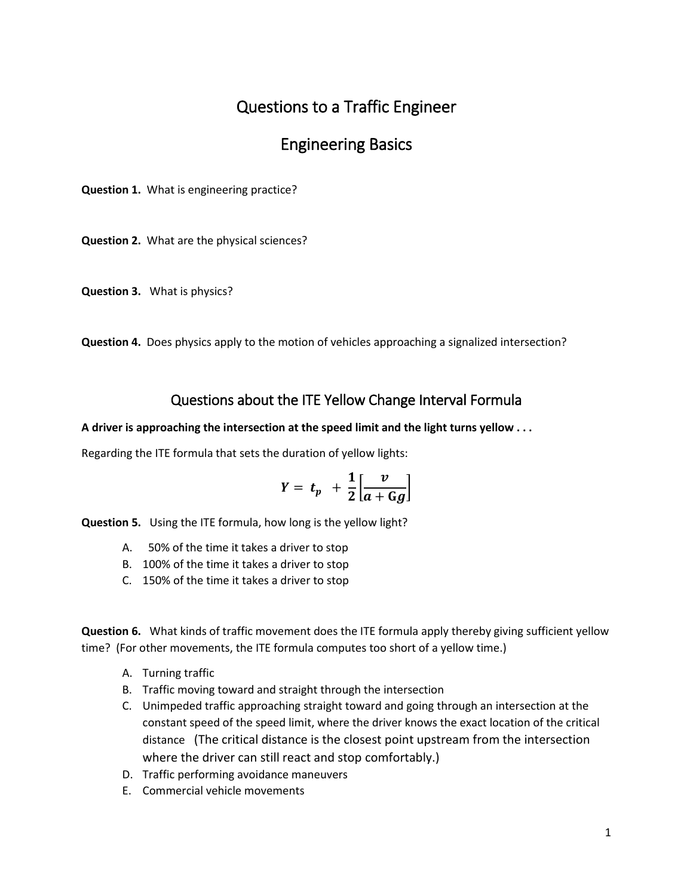## Questions to a Traffic Engineer

## Engineering Basics

**Question 1.** What is engineering practice?

**Question 2.** What are the physical sciences?

**Question 3.** What is physics?

**Question 4.** Does physics apply to the motion of vehicles approaching a signalized intersection?

## Questions about the ITE Yellow Change Interval Formula

## **A driver is approaching the intersection at the speed limit and the light turns yellow . . .**

Regarding the ITE formula that sets the duration of yellow lights:

$$
Y = t_p + \frac{1}{2} \left[ \frac{v}{a + Gg} \right]
$$

**Question 5.** Using the ITE formula, how long is the yellow light?

- A. 50% of the time it takes a driver to stop
- B. 100% of the time it takes a driver to stop
- C. 150% of the time it takes a driver to stop

**Question 6.** What kinds of traffic movement does the ITE formula apply thereby giving sufficient yellow time? (For other movements, the ITE formula computes too short of a yellow time.)

- A. Turning traffic
- B. Traffic moving toward and straight through the intersection
- C. Unimpeded traffic approaching straight toward and going through an intersection at the constant speed of the speed limit, where the driver knows the exact location of the critical distance (The critical distance is the closest point upstream from the intersection where the driver can still react and stop comfortably.)
- D. Traffic performing avoidance maneuvers
- E. Commercial vehicle movements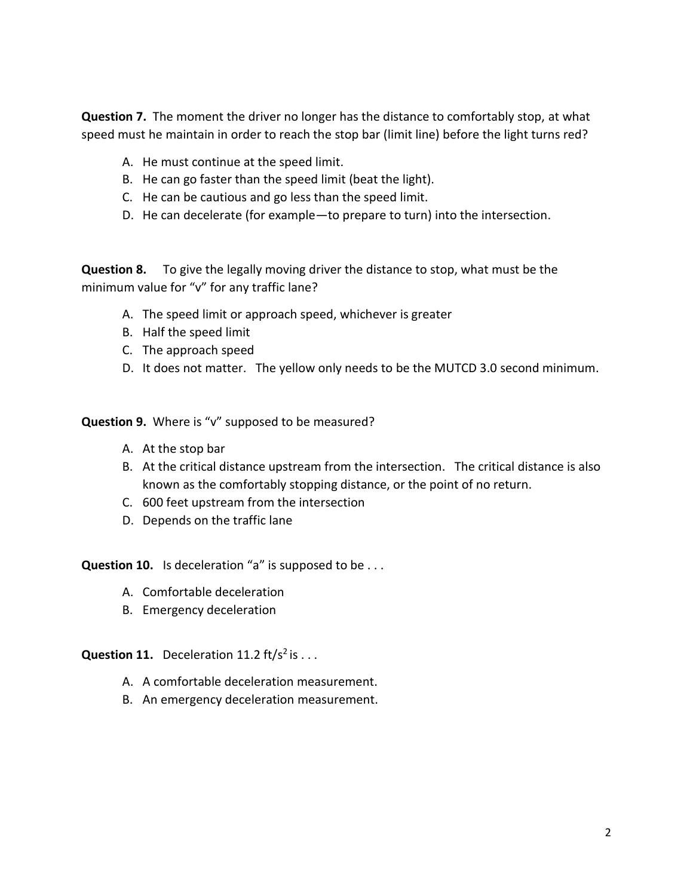**Question 7.** The moment the driver no longer has the distance to comfortably stop, at what speed must he maintain in order to reach the stop bar (limit line) before the light turns red?

- A. He must continue at the speed limit.
- B. He can go faster than the speed limit (beat the light).
- C. He can be cautious and go less than the speed limit.
- D. He can decelerate (for example—to prepare to turn) into the intersection.

**Question 8.** To give the legally moving driver the distance to stop, what must be the minimum value for "v" for any traffic lane?

- A. The speed limit or approach speed, whichever is greater
- B. Half the speed limit
- C. The approach speed
- D. It does not matter. The yellow only needs to be the MUTCD 3.0 second minimum.

**Question 9.** Where is "v" supposed to be measured?

- A. At the stop bar
- B. At the critical distance upstream from the intersection. The critical distance is also known as the comfortably stopping distance, or the point of no return.
- C. 600 feet upstream from the intersection
- D. Depends on the traffic lane

**Question 10.** Is deceleration "a" is supposed to be . . .

- A. Comfortable deceleration
- B. Emergency deceleration

**Question 11.** Deceleration 11.2  $\text{ft/s}^2$  is . . .

- A. A comfortable deceleration measurement.
- B. An emergency deceleration measurement.